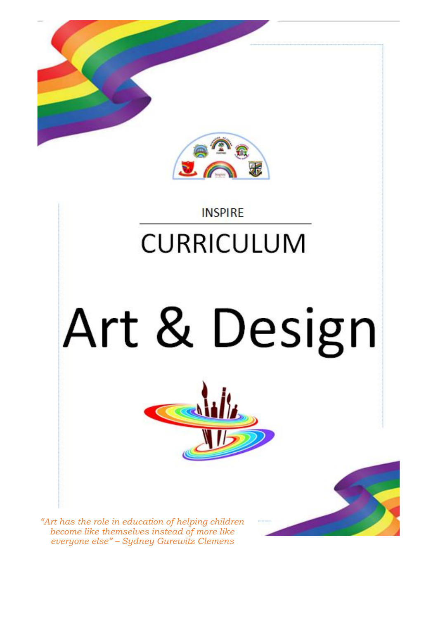

#### **INSPIRE**

### **CURRICULUM**

# Art & Design

 $\overline{\mathcal{C}}$ 



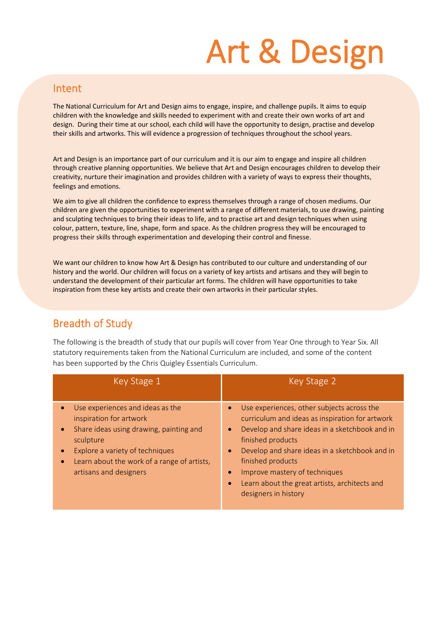## Art & Design

#### **Intent**

The National Curriculum for Art and Design aims to engage, inspire, and challenge pupils. It aims to equip children with the knowledge and skills needed to experiment with and create their own works of art and design. During their time at our school, each child will have the opportunity to design, practise and develop their skills and artworks. This will evidence a progression of techniques throughout the school years.

Art and Design is an importance part of our curriculum and it is our aim to engage and inspire all children through creative planning opportunities. We believe that Art and Design encourages children to develop their creativity, nurture their imagination and provides children with a variety of ways to express their thoughts, feelings and emotions.

We aim to give all children the confidence to express themselves through a range of chosen mediums. Our children are given the opportunities to experiment with a range of different materials, to use drawing, painting and sculpting techniques to bring their ideas to life, and to practise art and design techniques when using colour, pattern, texture, line, shape, form and space. As the children progress they will be encouraged to progress their skills through experimentation and developing their control and finesse.

We want our children to know how Art & Design has contributed to our culture and understanding of our history and the world. Our children will focus on a variety of key artists and artisans and they will begin to understand the development of their particular art forms. The children will have opportunities to take inspiration from these key artists and create their own artworks in their particular styles.

#### Breadth of Study

The following is the breadth of study that our pupils will cover from Year One through to Year Six. All statutory requirements taken from the National Curriculum are included, and some of the content has been supported by the Chris Quigley Essentials Curriculum.

| Key Stage 1                                                                                                                                                                                                                                  | Key Stage 2                                                                                                                                                                                                                                                                                                                                                                                  |
|----------------------------------------------------------------------------------------------------------------------------------------------------------------------------------------------------------------------------------------------|----------------------------------------------------------------------------------------------------------------------------------------------------------------------------------------------------------------------------------------------------------------------------------------------------------------------------------------------------------------------------------------------|
| Use experiences and ideas as the<br>inspiration for artwork<br>Share ideas using drawing, painting and<br>$\bullet$<br>sculpture<br>Explore a variety of techniques<br>Learn about the work of a range of artists,<br>artisans and designers | Use experiences, other subjects across the<br>$\bullet$<br>curriculum and ideas as inspiration for artwork<br>Develop and share ideas in a sketchbook and in<br>$\bullet$<br>finished products<br>Develop and share ideas in a sketchbook and in<br>$\bullet$<br>finished products<br>Improve mastery of techniques<br>Learn about the great artists, architects and<br>designers in history |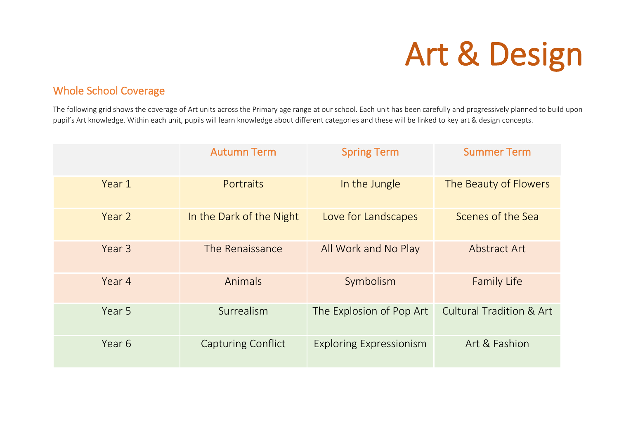## Art & Design

#### Whole School Coverage

The following grid shows the coverage of Art units across the Primary age range at our school. Each unit has been carefully and progressively planned to build upon pupil's Art knowledge. Within each unit, pupils will learn knowledge about different categories and these will be linked to key art & design concepts.

|        | <b>Autumn Term</b>        | <b>Spring Term</b>             | <b>Summer Term</b>                  |
|--------|---------------------------|--------------------------------|-------------------------------------|
| Year 1 | Portraits                 | In the Jungle                  | The Beauty of Flowers               |
| Year 2 | In the Dark of the Night  | Love for Landscapes            | Scenes of the Sea                   |
| Year 3 | The Renaissance           | All Work and No Play           | Abstract Art                        |
| Year 4 | Animals                   | Symbolism                      | <b>Family Life</b>                  |
| Year 5 | Surrealism                | The Explosion of Pop Art       | <b>Cultural Tradition &amp; Art</b> |
| Year 6 | <b>Capturing Conflict</b> | <b>Exploring Expressionism</b> | Art & Fashion                       |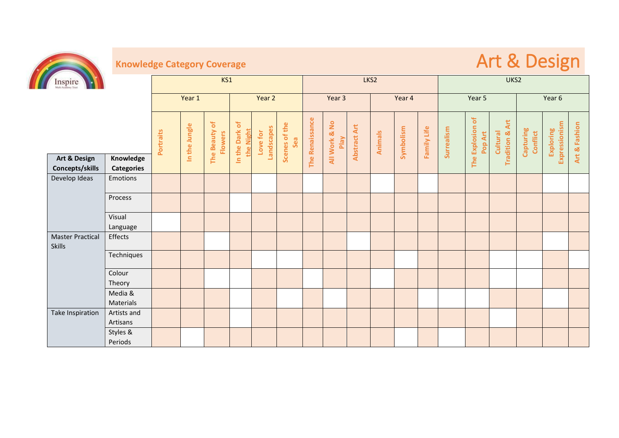

### **Knowledge Category Coverage and Contract Contract Contract Contract Contract Contract Contract Contract Contract Contract Contract Contract Contract Contract Contract Contract Contract Contract Contract Contract Contract**

| Inspire                                  | KS1                     |           |               |                                 |                             | LKS2                   |                      |                        |                       |                     |         | UKS2      |             |            |                         |                                           |                       |                            |               |
|------------------------------------------|-------------------------|-----------|---------------|---------------------------------|-----------------------------|------------------------|----------------------|------------------------|-----------------------|---------------------|---------|-----------|-------------|------------|-------------------------|-------------------------------------------|-----------------------|----------------------------|---------------|
|                                          |                         | Year 1    |               | Year 2                          |                             | Year 3                 |                      | Year 4                 |                       |                     | Year 5  |           |             | Year 6     |                         |                                           |                       |                            |               |
|                                          |                         | Portraits | In the Jungle | The Beauty of<br><b>Flowers</b> | In the Dark of<br>the Night | Landscapes<br>Love for | Scenes of the<br>Sea | <b>The Renaissance</b> | All Work & No<br>Play | <b>Abstract Art</b> | Animals | Symbolism | Family Life | Surrealism | Explosion of<br>Pop Art | Art<br><b>Tradition &amp;</b><br>Cultural | Capturing<br>Conflict | Expressionism<br>Exploring | Art & Fashion |
| Art & Design                             | Knowledge               |           |               |                                 |                             |                        |                      |                        |                       |                     |         |           |             |            | The                     |                                           |                       |                            |               |
| Concepts/skills                          | <b>Categories</b>       |           |               |                                 |                             |                        |                      |                        |                       |                     |         |           |             |            |                         |                                           |                       |                            |               |
| Develop Ideas                            | Emotions                |           |               |                                 |                             |                        |                      |                        |                       |                     |         |           |             |            |                         |                                           |                       |                            |               |
|                                          | Process                 |           |               |                                 |                             |                        |                      |                        |                       |                     |         |           |             |            |                         |                                           |                       |                            |               |
|                                          | Visual<br>Language      |           |               |                                 |                             |                        |                      |                        |                       |                     |         |           |             |            |                         |                                           |                       |                            |               |
| <b>Master Practical</b><br><b>Skills</b> | Effects                 |           |               |                                 |                             |                        |                      |                        |                       |                     |         |           |             |            |                         |                                           |                       |                            |               |
|                                          | Techniques              |           |               |                                 |                             |                        |                      |                        |                       |                     |         |           |             |            |                         |                                           |                       |                            |               |
|                                          | Colour<br>Theory        |           |               |                                 |                             |                        |                      |                        |                       |                     |         |           |             |            |                         |                                           |                       |                            |               |
|                                          | Media &<br>Materials    |           |               |                                 |                             |                        |                      |                        |                       |                     |         |           |             |            |                         |                                           |                       |                            |               |
| Take Inspiration                         | Artists and<br>Artisans |           |               |                                 |                             |                        |                      |                        |                       |                     |         |           |             |            |                         |                                           |                       |                            |               |
|                                          | Styles &<br>Periods     |           |               |                                 |                             |                        |                      |                        |                       |                     |         |           |             |            |                         |                                           |                       |                            |               |